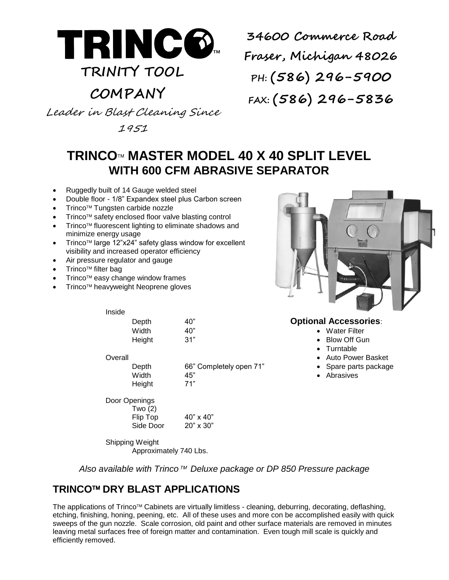

# **TRINITY TOOL**

## **COMPANY**

**34600 Commerce Road Fraser, Michigan 48026 PH: (586) 296-5900 FAX: (586) 296-5836**

Leader in Blast Cleaning Since

1951

### **TRINCO MASTER MODEL 40 X 40 SPLIT LEVEL WITH 600 CFM ABRASIVE SEPARATOR**

- Ruggedly built of 14 Gauge welded steel
- Double floor 1/8" Expandex steel plus Carbon screen
- Trinco<sup>™</sup> Tungsten carbide nozzle
- Trinco<sup>™</sup> safety enclosed floor valve blasting control
- Trinco<sup>™</sup> fluorescent lighting to eliminate shadows and minimize energy usage
- Trinco<sup>™</sup> large 12"x24" safety glass window for excellent visibility and increased operator efficiency
- Air pressure regulator and gauge
- Trinco<sup>™</sup> filter bag
- Trinco<sup>™</sup> easy change window frames

Inside

Trinco<sup>™</sup> heavyweight Neoprene gloves



### Depth 40" **Optional Accessories**:

- Width  $40''$  **Water Filter**
- Height 31" 31" **Blow Off Gun** 
	- Turntable
- Overall **Contract Contract Contract Contract Contract Contract Contract Contract Contract Contract Contract Contract Contract Contract Contract Contract Contract Contract Contract Contract Contract Contract Contract Contra** 
	-
	-

Depth 66" Completely open 71" • Spare parts package Width  $45$ " extended to Abrasives Height 71"

Door Openings Two (2)

Flip  $\text{Top}$  40" x 40" Side Door 20" x 30"

Shipping Weight Approximately 740 Lbs.

*Also available with Trinco™ Deluxe package or DP 850 Pressure package* 

### **TRINCO™ DRY BLAST APPLICATIONS**

The applications of Trinco<sup>™</sup> Cabinets are virtually limitless - cleaning, deburring, decorating, deflashing, etching, finishing, honing, peening, etc. All of these uses and more con be accomplished easily with quick sweeps of the gun nozzle. Scale corrosion, old paint and other surface materials are removed in minutes leaving metal surfaces free of foreign matter and contamination. Even tough mill scale is quickly and efficiently removed.